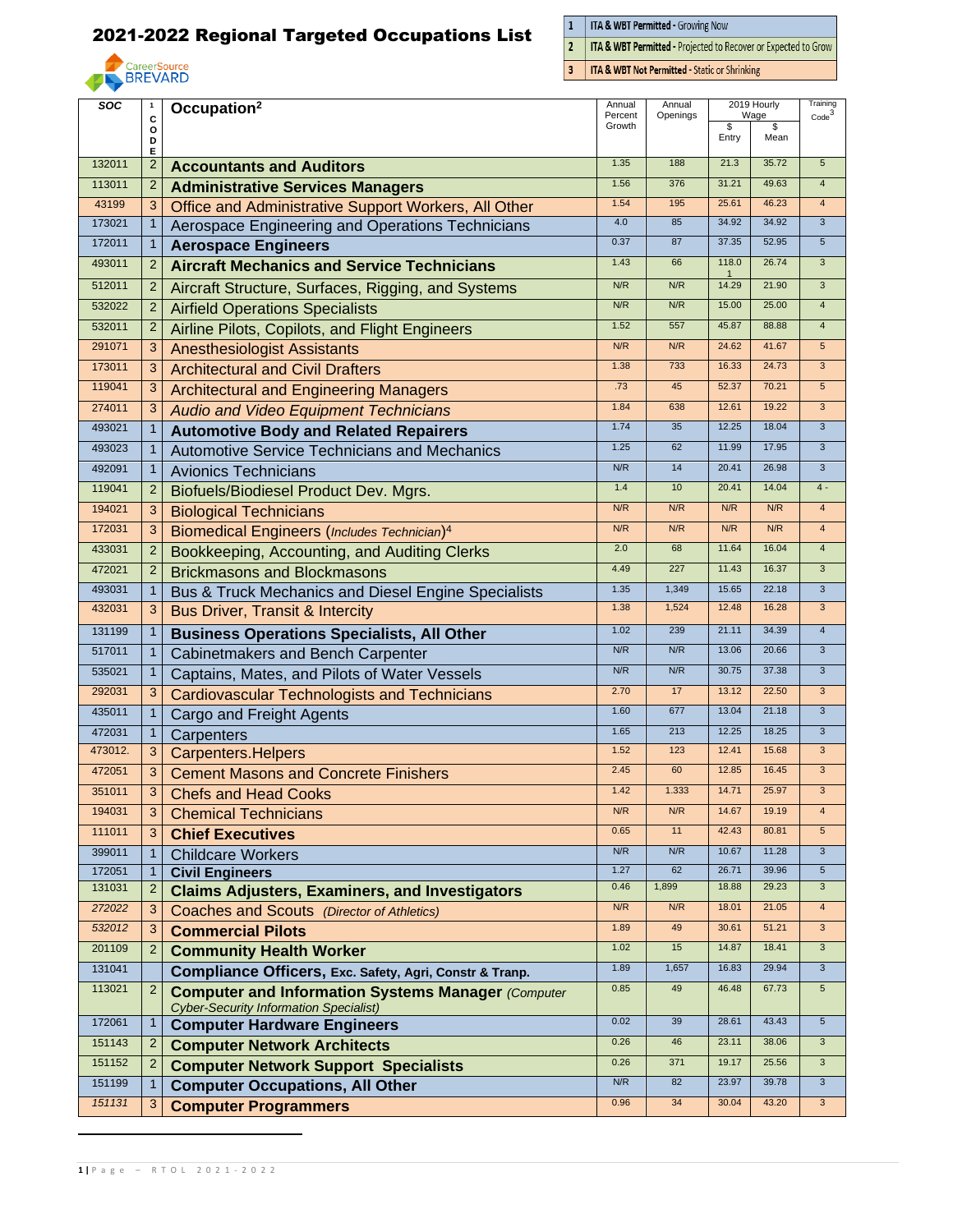

 $\frac{1}{2}$ **ITA & WBT Permitted - Growing Now** 

ITA & WBT Permitted - Projected to Recover or Expected to Grow

 $\overline{3}$ **ITA & WBT Not Permitted - Static or Shrinking** 

| SOC     | $\mathbf{1}$   | Occupation <sup>2</sup>                                   | Annual            | Annual   | 2019 Hourly           |            | Training          |
|---------|----------------|-----------------------------------------------------------|-------------------|----------|-----------------------|------------|-------------------|
|         | C<br>o         |                                                           | Percent<br>Growth | Openings | \$                    | Wage<br>\$ | $\mathrm{Code}^3$ |
|         | D<br>Е         |                                                           |                   |          | Entry                 | Mean       |                   |
| 132011  | $\overline{2}$ | <b>Accountants and Auditors</b>                           | 1.35              | 188      | 21.3                  | 35.72      | $5\phantom{.0}$   |
| 113011  | $\overline{2}$ | <b>Administrative Services Managers</b>                   | 1.56              | 376      | 31.21                 | 49.63      | $\overline{4}$    |
| 43199   | 3              | Office and Administrative Support Workers, All Other      | 1.54              | 195      | 25.61                 | 46.23      | $\overline{4}$    |
| 173021  | $\mathbf{1}$   | Aerospace Engineering and Operations Technicians          | 4.0               | 85       | 34.92                 | 34.92      | $\overline{3}$    |
| 172011  | $\mathbf{1}$   | <b>Aerospace Engineers</b>                                | 0.37              | 87       | 37.35                 | 52.95      | $5\phantom{.0}$   |
| 493011  | $\overline{2}$ | <b>Aircraft Mechanics and Service Technicians</b>         | 1.43              | 66       | 118.0<br>$\mathbf{1}$ | 26.74      | 3                 |
| 512011  | $\overline{2}$ | Aircraft Structure, Surfaces, Rigging, and Systems        | N/R               | N/R      | 14.29                 | 21.90      | $\mathbf{3}$      |
| 532022  | $\overline{2}$ | <b>Airfield Operations Specialists</b>                    | N/R               | N/R      | 15.00                 | 25.00      | $\overline{4}$    |
| 532011  | $\overline{2}$ | Airline Pilots, Copilots, and Flight Engineers            | 1.52              | 557      | 45.87                 | 88.88      | $\overline{4}$    |
| 291071  | 3              | <b>Anesthesiologist Assistants</b>                        | N/R               | N/R      | 24.62                 | 41.67      | $5\phantom{.0}$   |
| 173011  | 3              | <b>Architectural and Civil Drafters</b>                   | 1.38              | 733      | 16.33                 | 24.73      | 3                 |
| 119041  | $\mathbf{3}$   | <b>Architectural and Engineering Managers</b>             | .73               | 45       | 52.37                 | 70.21      | $5\phantom{.0}$   |
| 274011  | $\mathbf{3}$   | <b>Audio and Video Equipment Technicians</b>              | 1.84              | 638      | 12.61                 | 19.22      | $\overline{3}$    |
| 493021  | $\mathbf{1}$   | <b>Automotive Body and Related Repairers</b>              | 1.74              | 35       | 12.25                 | 18.04      | $\mathbf{3}$      |
| 493023  | $\mathbf{1}$   | <b>Automotive Service Technicians and Mechanics</b>       | 1.25              | 62       | 11.99                 | 17.95      | $\overline{3}$    |
| 492091  | $\mathbf{1}$   | <b>Avionics Technicians</b>                               | N/R               | 14       | 20.41                 | 26.98      | $\mathbf{3}$      |
| 119041  | $\overline{2}$ | Biofuels/Biodiesel Product Dev. Mgrs.                     | 1.4               | 10       | 20.41                 | 14.04      | $4 -$             |
| 194021  | $\mathbf{3}$   | <b>Biological Technicians</b>                             | N/R               | N/R      | N/R                   | N/R        | $\overline{4}$    |
| 172031  | $\mathbf{3}$   | <b>Biomedical Engineers (Includes Technician)4</b>        | N/R               | N/R      | N/R                   | N/R        | $\overline{4}$    |
| 433031  | $\overline{2}$ | Bookkeeping, Accounting, and Auditing Clerks              | 2.0               | 68       | 11.64                 | 16.04      | $\overline{4}$    |
| 472021  | $\overline{2}$ | <b>Brickmasons and Blockmasons</b>                        | 4.49              | 227      | 11.43                 | 16.37      | $\overline{3}$    |
| 493031  | $\mathbf{1}$   | Bus & Truck Mechanics and Diesel Engine Specialists       | 1.35              | 1,349    | 15.65                 | 22.18      | $\mathbf{3}$      |
| 432031  | 3              | <b>Bus Driver, Transit &amp; Intercity</b>                | 1.38              | 1,524    | 12.48                 | 16.28      | $\mathbf{3}$      |
| 131199  | $\mathbf{1}$   | <b>Business Operations Specialists, All Other</b>         | 1.02              | 239      | 21.11                 | 34.39      | $\overline{4}$    |
| 517011  | $\mathbf{1}$   | Cabinetmakers and Bench Carpenter                         | N/R               | N/R      | 13.06                 | 20.66      | $\overline{3}$    |
| 535021  | $\mathbf{1}$   | Captains, Mates, and Pilots of Water Vessels              | N/R               | N/R      | 30.75                 | 37.38      | $\mathbf{3}$      |
| 292031  | 3              | <b>Cardiovascular Technologists and Technicians</b>       | 2.70              | 17       | 13.12                 | 22.50      | 3                 |
| 435011  | $\mathbf{1}$   | Cargo and Freight Agents                                  | 1.60              | 677      | 13.04                 | 21.18      | $\mathbf{3}$      |
| 472031  | $\mathbf{1}$   | Carpenters                                                | 1.65              | 213      | 12.25                 | 18.25      | $\mathbf{3}$      |
| 473012. | 3              | <b>Carpenters.Helpers</b>                                 | 1.52              | 123      | 12.41                 | 15.68      | $\mathbf{3}$      |
| 472051  | 3              | <b>Cement Masons and Concrete Finishers</b>               | 2.45              | 60       | 12.85                 | 16.45      | $\overline{3}$    |
| 351011  | 3 <sup>1</sup> | <b>Chefs and Head Cooks</b>                               | 1.42              | 1.333    | 14.71                 | 25.97      | 3                 |
| 194031  | 3              | <b>Chemical Technicians</b>                               | N/R               | N/R      | 14.67                 | 19.19      | $\overline{4}$    |
| 111011  | 3              | <b>Chief Executives</b>                                   | 0.65              | 11       | 42.43                 | 80.81      | $5\phantom{.0}$   |
| 399011  | $\mathbf{1}$   | <b>Childcare Workers</b>                                  | N/R               | N/R      | 10.67                 | 11.28      | $\mathbf{3}$      |
| 172051  | $\mathbf{1}$   | <b>Civil Engineers</b>                                    | 1.27              | 62       | 26.71                 | 39.96      | $5\phantom{.0}$   |
| 131031  | $\overline{2}$ | <b>Claims Adjusters, Examiners, and Investigators</b>     | 0.46              | 1,899    | 18.88                 | 29.23      | $\overline{3}$    |
| 272022  | 3              | Coaches and Scouts (Director of Athletics)                | N/R               | N/R      | 18.01                 | 21.05      | $\overline{4}$    |
| 532012  | 3              | <b>Commercial Pilots</b>                                  | 1.89              | 49       | 30.61                 | 51.21      | $\overline{3}$    |
| 201109  | $\overline{2}$ | <b>Community Health Worker</b>                            | 1.02              | 15       | 14.87                 | 18.41      | $\overline{3}$    |
| 131041  |                | Compliance Officers, Exc. Safety, Agri, Constr & Tranp.   | 1.89              | 1,657    | 16.83                 | 29.94      | $\mathbf{3}$      |
| 113021  | $\overline{2}$ | <b>Computer and Information Systems Manager (Computer</b> | 0.85              | 49       | 46.48                 | 67.73      | $5\phantom{.0}$   |
| 172061  | 1              | <b>Cyber-Security Information Specialist)</b>             | 0.02              | 39       | 28.61                 | 43.43      | $\sqrt{5}$        |
| 151143  | $\overline{2}$ | <b>Computer Hardware Engineers</b>                        | 0.26              | 46       | 23.11                 | 38.06      | $\mathbf{3}$      |
| 151152  | $\overline{2}$ | <b>Computer Network Architects</b>                        | 0.26              | 371      | 19.17                 | 25.56      | $\mathbf{3}$      |
| 151199  |                | <b>Computer Network Support Specialists</b>               | N/R               | 82       | 23.97                 | 39.78      | $\mathbf{3}$      |
| 151131  | $\mathbf{1}$   | <b>Computer Occupations, All Other</b>                    | 0.96              | 34       | 30.04                 | 43.20      | $\mathbf{3}$      |
|         | 3              | <b>Computer Programmers</b>                               |                   |          |                       |            |                   |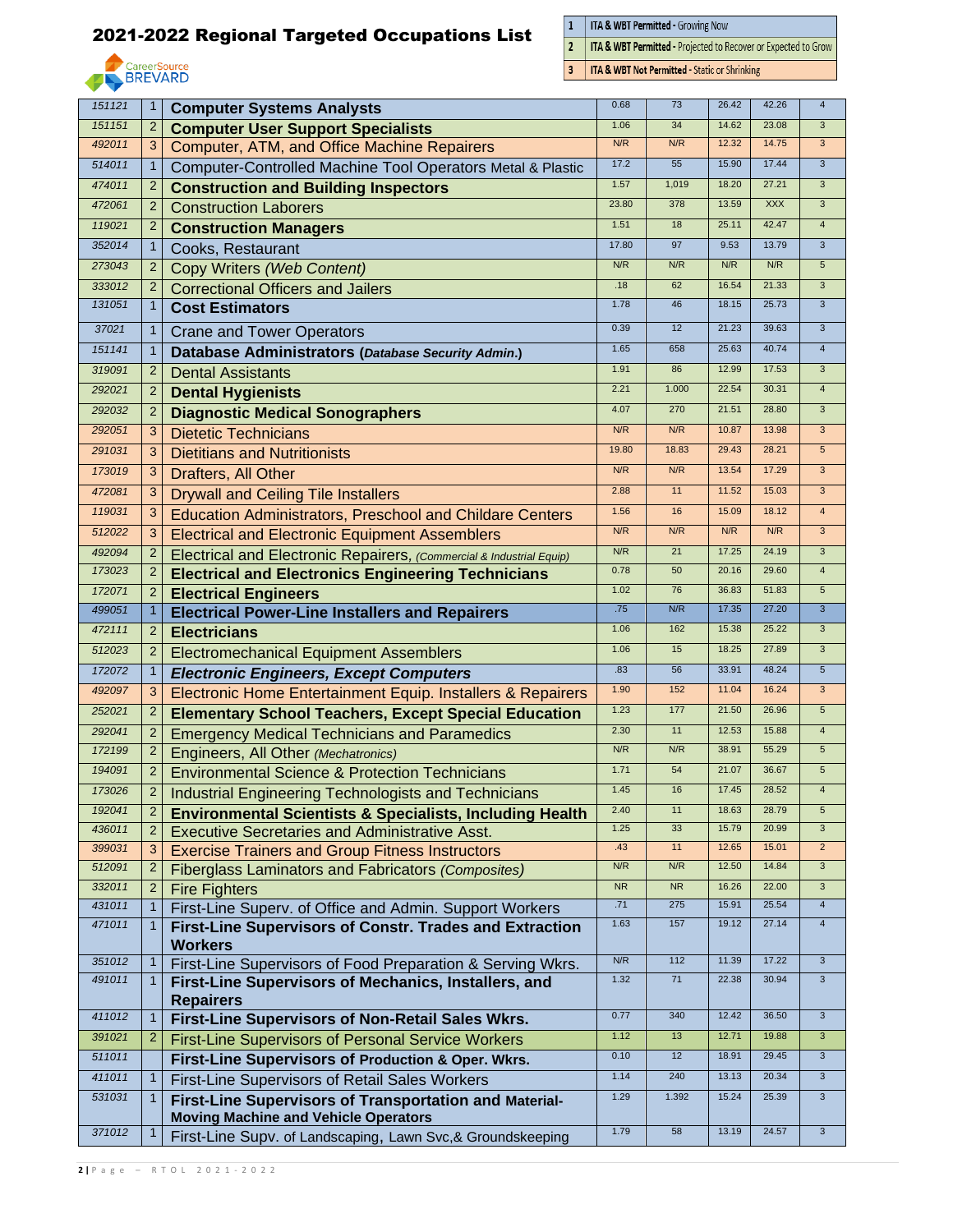

 $\frac{1}{2}$ **ITA & WBT Permitted - Growing Now** 

ITA & WBT Permitted - Projected to Recover or Expected to Grow

 $\overline{3}$ **ITA & WBT Not Permitted - Static or Shrinking** 

|        |                |                                                                      | 0.68      | 73        | 26.42 | 42.26      | $\overline{4}$  |
|--------|----------------|----------------------------------------------------------------------|-----------|-----------|-------|------------|-----------------|
| 151121 | $\mathbf{1}$   | <b>Computer Systems Analysts</b>                                     |           |           |       |            |                 |
| 151151 | $\overline{2}$ | <b>Computer User Support Specialists</b>                             | 1.06      | 34        | 14.62 | 23.08      | 3               |
| 492011 | 3              | <b>Computer, ATM, and Office Machine Repairers</b>                   | N/R       | N/R       | 12.32 | 14.75      | $\mathbf{3}$    |
| 514011 | $\mathbf{1}$   | Computer-Controlled Machine Tool Operators Metal & Plastic           | 17.2      | 55        | 15.90 | 17.44      | $\mathbf{3}$    |
| 474011 | $\overline{2}$ | <b>Construction and Building Inspectors</b>                          | 1.57      | 1,019     | 18.20 | 27.21      | $\overline{3}$  |
| 472061 | $\overline{2}$ | <b>Construction Laborers</b>                                         | 23.80     | 378       | 13.59 | <b>XXX</b> | $\mathbf{3}$    |
| 119021 | 2              | <b>Construction Managers</b>                                         | 1.51      | 18        | 25.11 | 42.47      | $\overline{4}$  |
| 352014 | $\mathbf{1}$   | Cooks, Restaurant                                                    | 17.80     | 97        | 9.53  | 13.79      | $\overline{3}$  |
| 273043 | $\overline{2}$ | Copy Writers (Web Content)                                           | N/R       | N/R       | N/R   | N/R        | $5\phantom{.0}$ |
| 333012 | 2              | <b>Correctional Officers and Jailers</b>                             | .18       | 62        | 16.54 | 21.33      | $\mathbf{3}$    |
| 131051 | $\mathbf{1}$   | <b>Cost Estimators</b>                                               | 1.78      | 46        | 18.15 | 25.73      | $\mathbf{3}$    |
| 37021  | $\mathbf{1}$   | <b>Crane and Tower Operators</b>                                     | 0.39      | 12        | 21.23 | 39.63      | $\mathbf{3}$    |
| 151141 | $\mathbf{1}$   | Database Administrators (Database Security Admin.)                   | 1.65      | 658       | 25.63 | 40.74      | $\overline{4}$  |
| 319091 | $\overline{2}$ | <b>Dental Assistants</b>                                             | 1.91      | 86        | 12.99 | 17.53      | $\mathbf{3}$    |
| 292021 | $\overline{2}$ | <b>Dental Hygienists</b>                                             | 2.21      | 1.000     | 22.54 | 30.31      | $\overline{4}$  |
| 292032 | $\overline{2}$ | <b>Diagnostic Medical Sonographers</b>                               | 4.07      | 270       | 21.51 | 28.80      | $\overline{3}$  |
| 292051 | 3              |                                                                      | N/R       | N/R       | 10.87 | 13.98      | 3               |
| 291031 |                | <b>Dietetic Technicians</b>                                          | 19.80     | 18.83     | 29.43 | 28.21      | $5\phantom{.0}$ |
| 173019 | 3              | <b>Dietitians and Nutritionists</b>                                  | N/R       | N/R       | 13.54 | 17.29      | $\overline{3}$  |
|        | 3              | Drafters, All Other                                                  |           |           |       |            |                 |
| 472081 | 3              | <b>Drywall and Ceiling Tile Installers</b>                           | 2.88      | 11        | 11.52 | 15.03      | $\mathbf{3}$    |
| 119031 | 3              | <b>Education Administrators, Preschool and Childare Centers</b>      | 1.56      | 16        | 15.09 | 18.12      | $\overline{4}$  |
| 512022 | 3              | <b>Electrical and Electronic Equipment Assemblers</b>                | N/R       | N/R       | N/R   | N/R        | 3               |
| 492094 | $\overline{2}$ | Electrical and Electronic Repairers, (Commercial & Industrial Equip) | N/R       | 21        | 17.25 | 24.19      | $\overline{3}$  |
| 173023 | $\overline{2}$ | <b>Electrical and Electronics Engineering Technicians</b>            | 0.78      | 50        | 20.16 | 29.60      | $\overline{4}$  |
| 172071 | $\overline{2}$ | <b>Electrical Engineers</b>                                          | 1.02      | 76        | 36.83 | 51.83      | $5\overline{)}$ |
| 499051 | $\mathbf{1}$   | <b>Electrical Power-Line Installers and Repairers</b>                | .75       | N/R       | 17.35 | 27.20      | $\overline{3}$  |
| 472111 | $\overline{2}$ | <b>Electricians</b>                                                  | 1.06      | 162       | 15.38 | 25.22      | $\mathbf{3}$    |
| 512023 | 2              | <b>Electromechanical Equipment Assemblers</b>                        | 1.06      | 15        | 18.25 | 27.89      | $\mathbf{3}$    |
| 172072 | $\mathbf{1}$   | <b>Electronic Engineers, Except Computers</b>                        | .83       | 56        | 33.91 | 48.24      | $5\overline{)}$ |
| 492097 | 3              | Electronic Home Entertainment Equip. Installers & Repairers          | 1.90      | 152       | 11.04 | 16.24      | 3               |
| 252021 | $\overline{2}$ | <b>Elementary School Teachers, Except Special Education</b>          | 1.23      | 177       | 21.50 | 26.96      | $5\phantom{.0}$ |
| 292041 | $\overline{2}$ | <b>Emergency Medical Technicians and Paramedics</b>                  | 2.30      | 11        | 12.53 | 15.88      | $\overline{4}$  |
| 172199 | $\overline{2}$ | Engineers, All Other (Mechatronics)                                  | N/R       | N/R       | 38.91 | 55.29      | $5\phantom{.0}$ |
| 194091 | $\overline{2}$ | <b>Environmental Science &amp; Protection Technicians</b>            | 1.71      | 54        | 21.07 | 36.67      | 5               |
| 173026 |                | <b>Industrial Engineering Technologists and Technicians</b>          | 1.45      | 16        | 17.45 | 28.52      | 4               |
| 192041 | $\overline{2}$ | <b>Environmental Scientists &amp; Specialists, Including Health</b>  | 2.40      | 11        | 18.63 | 28.79      | $5\overline{)}$ |
| 436011 | $\overline{2}$ | <b>Executive Secretaries and Administrative Asst.</b>                | 1.25      | 33        | 15.79 | 20.99      | $\mathbf{3}$    |
| 399031 | 3              | <b>Exercise Trainers and Group Fitness Instructors</b>               | .43       | 11        | 12.65 | 15.01      | $\overline{2}$  |
| 512091 | $\overline{2}$ | <b>Fiberglass Laminators and Fabricators (Composites)</b>            | N/R       | N/R       | 12.50 | 14.84      | $\mathbf{3}$    |
| 332011 | $\overline{2}$ | <b>Fire Fighters</b>                                                 | <b>NR</b> | <b>NR</b> | 16.26 | 22.00      | $\mathbf{3}$    |
| 431011 | $\mathbf{1}$   | First-Line Superv. of Office and Admin. Support Workers              | .71       | 275       | 15.91 | 25.54      | $\overline{4}$  |
| 471011 | $\mathbf{1}$   | First-Line Supervisors of Constr. Trades and Extraction              | 1.63      | 157       | 19.12 | 27.14      | $\overline{4}$  |
|        |                | <b>Workers</b>                                                       |           |           |       |            |                 |
| 351012 | $\mathbf{1}$   | First-Line Supervisors of Food Preparation & Serving Wkrs.           | N/R       | 112       | 11.39 | 17.22      | $\mathbf{3}$    |
| 491011 | $\mathbf{1}$   | First-Line Supervisors of Mechanics, Installers, and                 | 1.32      | 71        | 22.38 | 30.94      | $\mathbf{3}$    |
|        |                | <b>Repairers</b>                                                     |           |           |       |            |                 |
| 411012 | $\mathbf{1}$   | First-Line Supervisors of Non-Retail Sales Wkrs.                     | 0.77      | 340       | 12.42 | 36.50      | $\mathbf{3}$    |
| 391021 | $\overline{2}$ | First-Line Supervisors of Personal Service Workers                   | 1.12      | 13        | 12.71 | 19.88      | $\overline{3}$  |
| 511011 |                | First-Line Supervisors of Production & Oper. Wkrs.                   | 0.10      | 12        | 18.91 | 29.45      | $\mathbf{3}$    |
| 411011 | $\mathbf{1}$   | First-Line Supervisors of Retail Sales Workers                       | 1.14      | 240       | 13.13 | 20.34      | $\overline{3}$  |
| 531031 | $\mathbf{1}$   | First-Line Supervisors of Transportation and Material-               | 1.29      | 1.392     | 15.24 | 25.39      | $\mathbf{3}$    |
|        |                | <b>Moving Machine and Vehicle Operators</b>                          |           |           |       |            |                 |
| 371012 | $\mathbf{1}$   | First-Line Supv. of Landscaping, Lawn Svc,& Groundskeeping           | 1.79      | 58        | 13.19 | 24.57      | $\mathbf{3}$    |
|        |                |                                                                      |           |           |       |            |                 |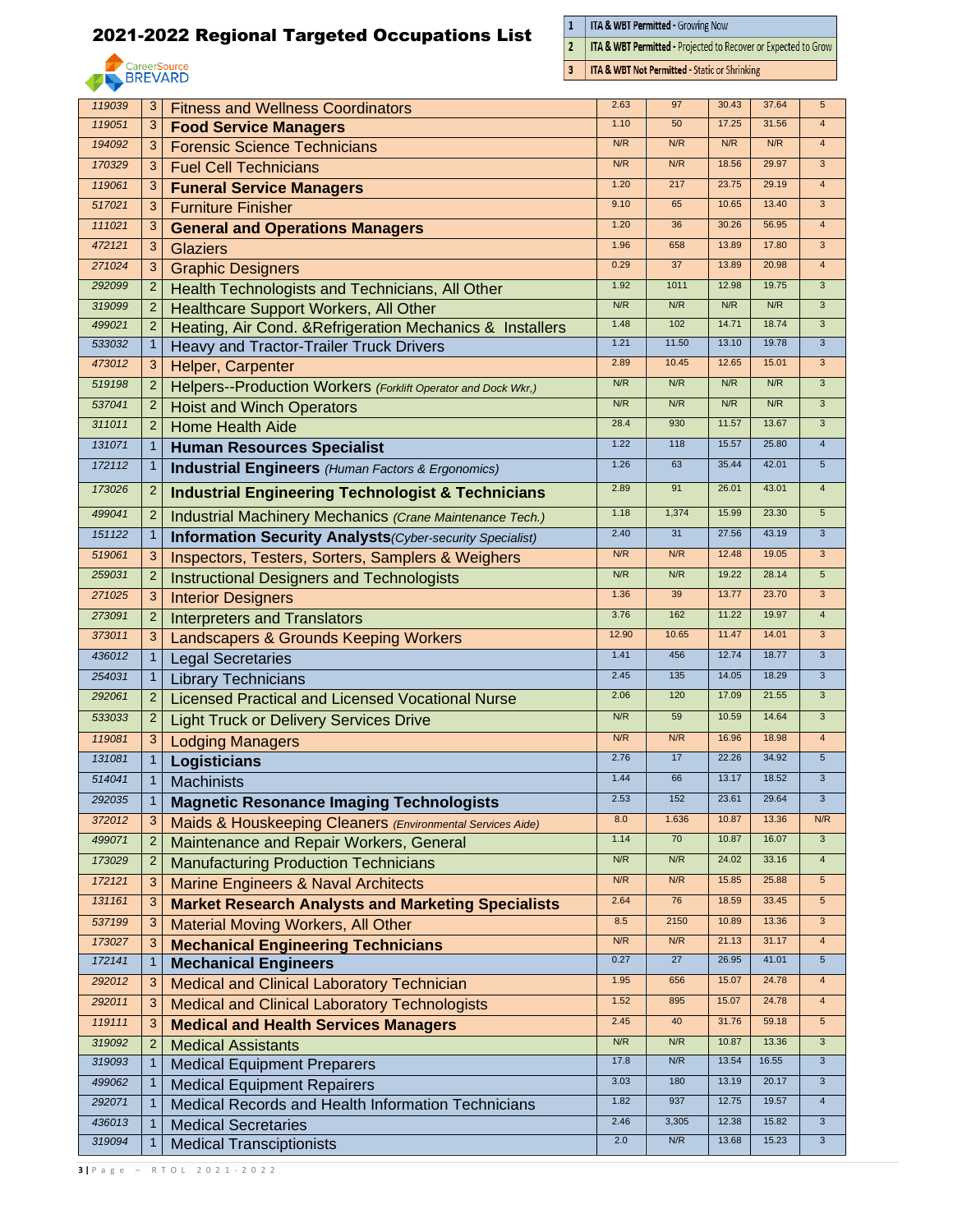

 $\frac{1}{2}$ ITA & WBT Permitted - Growing Now

 $\overline{3}$ 

ITA & WBT Permitted - Projected to Recover or Expected to Grow

**ITA & WBT Not Permitted - Static or Shrinking** 

| 119039 | 3              | <b>Fitness and Wellness Coordinators</b>                         | 2.63   | 97    | 30.43 | 37.64 | 5                       |
|--------|----------------|------------------------------------------------------------------|--------|-------|-------|-------|-------------------------|
| 119051 | 3              | <b>Food Service Managers</b>                                     | 1.10   | 50    | 17.25 | 31.56 | $\overline{4}$          |
| 194092 | 3              | <b>Forensic Science Technicians</b>                              | N/R    | N/R   | N/R   | N/R   | $\overline{4}$          |
| 170329 | 3              | <b>Fuel Cell Technicians</b>                                     | N/R    | N/R   | 18.56 | 29.97 | $\overline{3}$          |
| 119061 | 3              | <b>Funeral Service Managers</b>                                  | 1.20   | 217   | 23.75 | 29.19 | $\overline{4}$          |
| 517021 | 3              | <b>Furniture Finisher</b>                                        | 9.10   | 65    | 10.65 | 13.40 | $\mathbf{3}$            |
| 111021 | 3              | <b>General and Operations Managers</b>                           | 1.20   | 36    | 30.26 | 56.95 | $\overline{4}$          |
| 472121 | 3              | <b>Glaziers</b>                                                  | 1.96   | 658   | 13.89 | 17.80 | $\overline{3}$          |
| 271024 | 3              | <b>Graphic Designers</b>                                         | 0.29   | 37    | 13.89 | 20.98 | $\overline{4}$          |
| 292099 | $\overline{2}$ | Health Technologists and Technicians, All Other                  | 1.92   | 1011  | 12.98 | 19.75 | $\overline{3}$          |
| 319099 | $\overline{2}$ | <b>Healthcare Support Workers, All Other</b>                     | N/R    | N/R   | N/R   | N/R   | $\overline{3}$          |
| 499021 | $\overline{2}$ | Heating, Air Cond. & Refrigeration Mechanics & Installers        | 1.48   | 102   | 14.71 | 18.74 | $\overline{3}$          |
| 533032 | 1              | Heavy and Tractor-Trailer Truck Drivers                          | 1.21   | 11.50 | 13.10 | 19.78 | 3                       |
| 473012 | 3              | Helper, Carpenter                                                | 2.89   | 10.45 | 12.65 | 15.01 | $\mathbf{3}$            |
| 519198 | $\overline{2}$ | Helpers--Production Workers (Forklift Operator and Dock Wkr.)    | N/R    | N/R   | N/R   | N/R   | $\overline{3}$          |
| 537041 | $\overline{2}$ | <b>Hoist and Winch Operators</b>                                 | N/R    | N/R   | N/R   | N/R   | $\overline{3}$          |
| 311011 | $\overline{2}$ | <b>Home Health Aide</b>                                          | 28.4   | 930   | 11.57 | 13.67 | 3                       |
| 131071 | $\mathbf{1}$   | <b>Human Resources Specialist</b>                                | 1.22   | 118   | 15.57 | 25.80 | $\overline{4}$          |
| 172112 | 1              |                                                                  | 1.26   | 63    | 35.44 | 42.01 | 5                       |
|        |                | <b>Industrial Engineers</b> (Human Factors & Ergonomics)         |        |       |       |       |                         |
| 173026 | $\overline{2}$ | <b>Industrial Engineering Technologist &amp; Technicians</b>     | 2.89   | 91    | 26.01 | 43.01 | $\overline{4}$          |
| 499041 | $\overline{2}$ | Industrial Machinery Mechanics (Crane Maintenance Tech.)         | 1.18   | 1,374 | 15.99 | 23.30 | $5\overline{)}$         |
| 151122 | $\mathbf{1}$   | <b>Information Security Analysts</b> (Cyber-security Specialist) | 2.40   | 31    | 27.56 | 43.19 | $\overline{3}$          |
| 519061 | 3              | Inspectors, Testers, Sorters, Samplers & Weighers                | N/R    | N/R   | 12.48 | 19.05 | $\overline{3}$          |
| 259031 | $\overline{2}$ | <b>Instructional Designers and Technologists</b>                 | N/R    | N/R   | 19.22 | 28.14 | $5\phantom{.0}$         |
| 271025 | 3              | <b>Interior Designers</b>                                        | 1.36   | 39    | 13.77 | 23.70 | $\mathbf{3}$            |
| 273091 | $\overline{2}$ | <b>Interpreters and Translators</b>                              | 3.76   | 162   | 11.22 | 19.97 | $\overline{4}$          |
| 373011 | 3              | Landscapers & Grounds Keeping Workers                            | 12.90  | 10.65 | 11.47 | 14.01 | 3                       |
| 436012 | $\mathbf{1}$   | <b>Legal Secretaries</b>                                         | 1.41   | 456   | 12.74 | 18.77 | $\overline{3}$          |
| 254031 | $\mathbf{1}$   | <b>Library Technicians</b>                                       | 2.45   | 135   | 14.05 | 18.29 | $\overline{3}$          |
| 292061 | $\overline{2}$ | <b>Licensed Practical and Licensed Vocational Nurse</b>          | 2.06   | 120   | 17.09 | 21.55 | 3                       |
| 533033 | $\overline{2}$ | <b>Light Truck or Delivery Services Drive</b>                    | N/R    | 59    | 10.59 | 14.64 | 3                       |
| 119081 | 3              |                                                                  | N/R    | N/R   | 16.96 | 18.98 | $\overline{4}$          |
| 131081 | $\mathbf{1}$   | <b>Lodging Managers</b>                                          | 2.76   | 17    | 22.26 | 34.92 | $5\phantom{.0}$         |
| 514041 |                | <b>Logisticians</b>                                              | 1.44   | 66    | 13.17 | 18.52 | $\overline{3}$          |
|        | $\mathbf{1}$   | <b>Machinists</b>                                                | 2.53   | 152   | 23.61 | 29.64 | 3                       |
| 292035 | $\mathbf{1}$   | <b>Magnetic Resonance Imaging Technologists</b>                  | 8.0    | 1.636 | 10.87 | 13.36 | N/R                     |
| 372012 | 3              | Maids & Houskeeping Cleaners (Environmental Services Aide)       | 1.14   | 70    | 10.87 | 16.07 | $\mathbf{3}$            |
| 499071 | $\overline{2}$ | Maintenance and Repair Workers, General                          |        |       |       |       |                         |
| 173029 | $\overline{2}$ | <b>Manufacturing Production Technicians</b>                      | N/R    | N/R   | 24.02 | 33.16 | $\overline{4}$          |
| 172121 | 3              | <b>Marine Engineers &amp; Naval Architects</b>                   | N/R    | N/R   | 15.85 | 25.88 | $5\phantom{.0}$         |
| 131161 | 3              | <b>Market Research Analysts and Marketing Specialists</b>        | 2.64   | 76    | 18.59 | 33.45 | $\sqrt{5}$              |
| 537199 | 3              | <b>Material Moving Workers, All Other</b>                        | 8.5    | 2150  | 10.89 | 13.36 | 3                       |
| 173027 | 3              | <b>Mechanical Engineering Technicians</b>                        | N/R    | N/R   | 21.13 | 31.17 | $\overline{4}$          |
| 172141 | $\mathbf{1}$   | <b>Mechanical Engineers</b>                                      | 0.27   | 27    | 26.95 | 41.01 | $5\phantom{.0}$         |
| 292012 | 3              | Medical and Clinical Laboratory Technician                       | 1.95   | 656   | 15.07 | 24.78 | $\overline{4}$          |
| 292011 | 3              | <b>Medical and Clinical Laboratory Technologists</b>             | $1.52$ | 895   | 15.07 | 24.78 | $\overline{4}$          |
| 119111 | 3              | <b>Medical and Health Services Managers</b>                      | 2.45   | 40    | 31.76 | 59.18 | $5\phantom{.0}$         |
| 319092 | $\overline{2}$ | <b>Medical Assistants</b>                                        | N/R    | N/R   | 10.87 | 13.36 | $\mathbf{3}$            |
| 319093 | $\mathbf{1}$   | <b>Medical Equipment Preparers</b>                               | 17.8   | N/R   | 13.54 | 16.55 | $\mathbf{3}$            |
| 499062 | 1              | <b>Medical Equipment Repairers</b>                               | 3.03   | 180   | 13.19 | 20.17 | $\mathbf{3}$            |
| 292071 | $\mathbf{1}$   | Medical Records and Health Information Technicians               | 1.82   | 937   | 12.75 | 19.57 | $\overline{\mathbf{4}}$ |
| 436013 |                | <b>Medical Secretaries</b>                                       | 2.46   | 3,305 | 12.38 | 15.82 | $\mathbf{3}$            |
| 319094 | $\mathbf{1}$   | <b>Medical Transciptionists</b>                                  | 2.0    | N/R   | 13.68 | 15.23 | $\mathsf 3$             |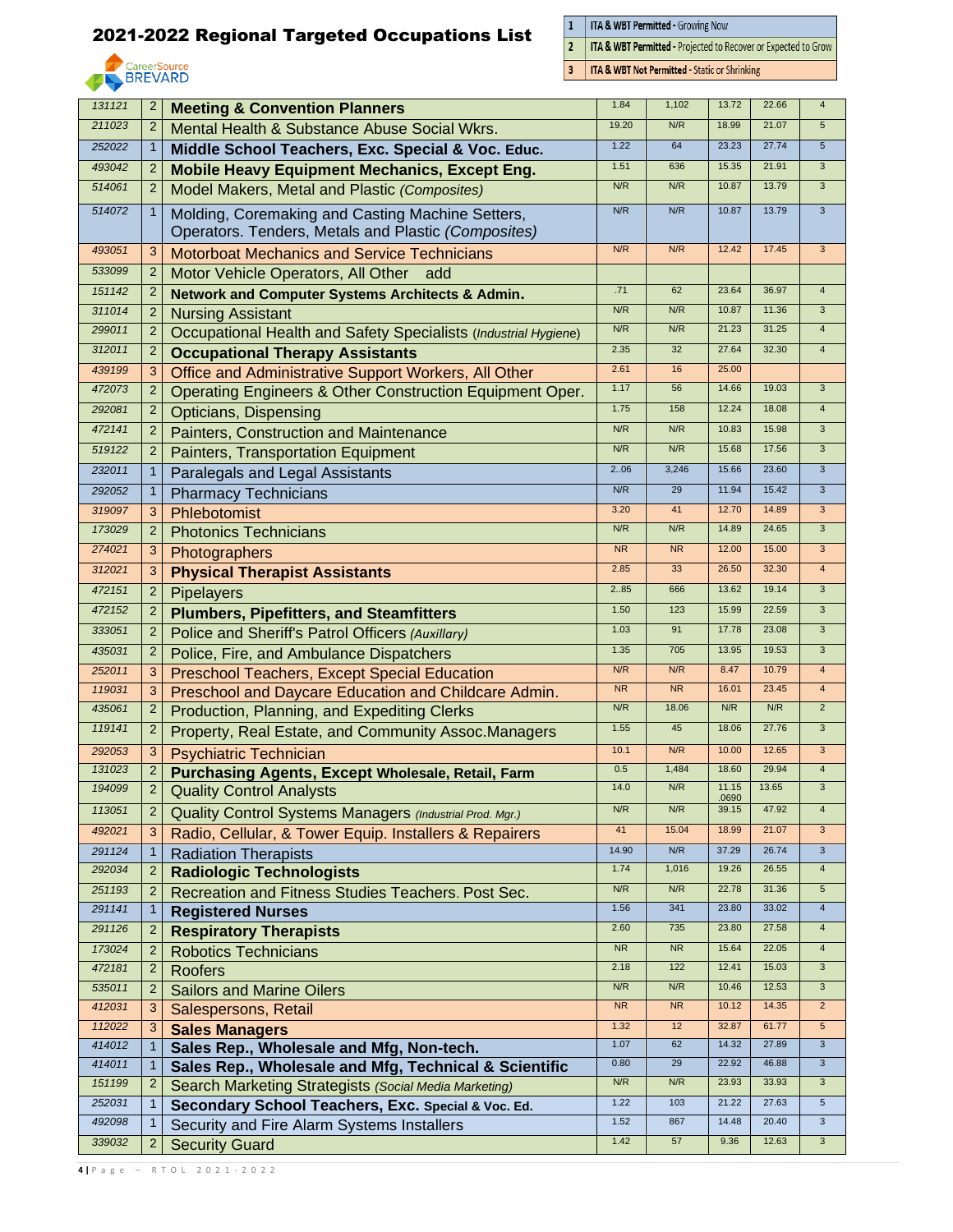

 $\frac{1}{2}$ **ITA & WBT Permitted - Growing Now** 

 $\overline{3}$ 

ITA & WBT Permitted - Projected to Recover or Expected to Grow

**ITA & WBT Not Permitted - Static or Shrinking** 

| 131121           | $\overline{2}$               | <b>Meeting &amp; Convention Planners</b>                                                            | 1.84             | 1,102     | 13.72          | 22.66 | $\overline{4}$                 |
|------------------|------------------------------|-----------------------------------------------------------------------------------------------------|------------------|-----------|----------------|-------|--------------------------------|
| 211023           | $\overline{2}$               | Mental Health & Substance Abuse Social Wkrs.                                                        | 19.20            | N/R       | 18.99          | 21.07 | $5\overline{5}$                |
| 252022           | $\mathbf 1$                  | Middle School Teachers, Exc. Special & Voc. Educ.                                                   | 1.22             | 64        | 23.23          | 27.74 | $5\phantom{.0}$                |
| 493042           | $\overline{2}$               | <b>Mobile Heavy Equipment Mechanics, Except Eng.</b>                                                | 1.51             | 636       | 15.35          | 21.91 | $\mathbf{3}$                   |
| 514061           | $\overline{2}$               | Model Makers, Metal and Plastic (Composites)                                                        | N/R              | N/R       | 10.87          | 13.79 | $\overline{3}$                 |
| 514072           | 1                            | Molding, Coremaking and Casting Machine Setters,                                                    | N/R              | N/R       | 10.87          | 13.79 | $\mathbf{3}$                   |
|                  |                              | Operators. Tenders, Metals and Plastic (Composites)                                                 |                  |           |                |       |                                |
| 493051           | 3                            | <b>Motorboat Mechanics and Service Technicians</b>                                                  | N/R              | N/R       | 12.42          | 17.45 | 3                              |
| 533099           | $\overline{2}$               | Motor Vehicle Operators, All Other<br>add                                                           |                  |           |                |       |                                |
| 151142           | $\overline{2}$               | <b>Network and Computer Systems Architects &amp; Admin.</b>                                         | .71              | 62        | 23.64          | 36.97 | $\overline{4}$                 |
| 311014           | $\overline{2}$               | <b>Nursing Assistant</b>                                                                            | N/R              | N/R       | 10.87          | 11.36 | $\mathbf{3}$                   |
| 299011           | $\overline{2}$               | Occupational Health and Safety Specialists (Industrial Hygiene)                                     | N/R              | N/R       | 21.23          | 31.25 | $\overline{4}$                 |
| 312011           | 2                            | <b>Occupational Therapy Assistants</b>                                                              | 2.35             | 32        | 27.64          | 32.30 | $\overline{4}$                 |
| 439199           | 3                            | Office and Administrative Support Workers, All Other                                                | 2.61             | 16        | 25.00          |       |                                |
| 472073           | $\overline{2}$               | Operating Engineers & Other Construction Equipment Oper.                                            | 1.17             | 56        | 14.66          | 19.03 | $\mathbf{3}$                   |
| 292081           | 2                            | <b>Opticians, Dispensing</b>                                                                        | 1.75             | 158       | 12.24          | 18.08 | $\overline{4}$                 |
| 472141           | $\overline{2}$               | Painters, Construction and Maintenance                                                              | N/R              | N/R       | 10.83          | 15.98 | $\overline{3}$                 |
| 519122           | $\overline{2}$               | Painters, Transportation Equipment                                                                  | N/R              | N/R       | 15.68          | 17.56 | $\ensuremath{\mathsf{3}}$      |
| 232011           | $\mathbf{1}$                 | Paralegals and Legal Assistants                                                                     | 2.06             | 3,246     | 15.66          | 23.60 | $\overline{3}$                 |
| 292052           | 1                            | <b>Pharmacy Technicians</b>                                                                         | N/R              | 29        | 11.94          | 15.42 | $\overline{3}$                 |
| 319097           | 3                            | Phlebotomist                                                                                        | 3.20             | 41        | 12.70          | 14.89 | 3                              |
| 173029           | $\overline{2}$               | <b>Photonics Technicians</b>                                                                        | N/R              | N/R       | 14.89          | 24.65 | 3                              |
| 274021           | 3                            | Photographers                                                                                       | <b>NR</b>        | <b>NR</b> | 12.00          | 15.00 | $\mathbf{3}$                   |
| 312021           | 3                            | <b>Physical Therapist Assistants</b>                                                                | 2.85             | 33        | 26.50          | 32.30 | $\overline{4}$                 |
| 472151           | $\overline{2}$               | Pipelayers                                                                                          | 285              | 666       | 13.62          | 19.14 | $\overline{3}$                 |
| 472152           | 2                            | <b>Plumbers, Pipefitters, and Steamfitters</b>                                                      | 1.50             | 123       | 15.99          | 22.59 | $\overline{3}$                 |
| 333051           | $\overline{c}$               | Police and Sheriff's Patrol Officers (Auxillary)                                                    | 1.03             | 91        | 17.78          | 23.08 | $\overline{3}$                 |
| 435031           | $\overline{2}$               |                                                                                                     | 1.35             | 705       | 13.95          | 19.53 | $\mathbf{3}$                   |
| 252011           |                              | Police, Fire, and Ambulance Dispatchers                                                             | N/R              | N/R       | 8.47           | 10.79 | $\overline{4}$                 |
| 119031           | 3<br>3                       | <b>Preschool Teachers, Except Special Education</b>                                                 | <b>NR</b>        | <b>NR</b> | 16.01          | 23.45 | $\overline{4}$                 |
| 435061           | 2                            | Preschool and Daycare Education and Childcare Admin.<br>Production, Planning, and Expediting Clerks | N/R              | 18.06     | N/R            | N/R   | $\overline{2}$                 |
| 119141           | $\overline{2}$               | Property, Real Estate, and Community Assoc.Managers                                                 | 1.55             | 45        | 18.06          | 27.76 | $\overline{3}$                 |
| 292053           | 3                            |                                                                                                     | 10.1             | N/R       | 10.00          | 12.65 | $\mathbf{3}$                   |
| 131023           | $\overline{2}$               | <b>Psychiatric Technician</b>                                                                       | 0.5              | 1,484     | 18.60          | 29.94 | $\overline{4}$                 |
| 194099           | $\overline{2}$               | <b>Purchasing Agents, Except Wholesale, Retail, Farm</b>                                            | 14.0             | N/R       | 11.15          | 13.65 | 3                              |
| 113051           |                              | <b>Quality Control Analysts</b>                                                                     | N/R              | N/R       | .0690<br>39.15 | 47.92 | $\overline{4}$                 |
|                  | $\overline{2}$               | Quality Control Systems Managers (Industrial Prod. Mgr.)                                            | 41               | 15.04     | 18.99          | 21.07 | $\overline{3}$                 |
| 492021           | 3                            | Radio, Cellular, & Tower Equip. Installers & Repairers                                              | 14.90            | N/R       | 37.29          | 26.74 |                                |
| 291124<br>292034 | $\mathbf{1}$                 | <b>Radiation Therapists</b>                                                                         | 1.74             | 1,016     | 19.26          | 26.55 | $\mathbf{3}$<br>$\overline{4}$ |
| 251193           | $\overline{2}$               | <b>Radiologic Technologists</b>                                                                     | N/R              | N/R       | 22.78          | 31.36 | $\sqrt{5}$                     |
| 291141           | 2                            | Recreation and Fitness Studies Teachers. Post Sec.                                                  | 1.56             | 341       | 23.80          | 33.02 | $\overline{4}$                 |
| 291126           | $\mathbf{1}$                 | <b>Registered Nurses</b>                                                                            | 2.60             | 735       | 23.80          | 27.58 | $\overline{4}$                 |
|                  | 2                            | <b>Respiratory Therapists</b>                                                                       | ${\sf NR}$       | <b>NR</b> | 15.64          | 22.05 | $\overline{4}$                 |
| 173024<br>472181 | 2                            | <b>Robotics Technicians</b>                                                                         | 2.18             | 122       | 12.41          | 15.03 | 3                              |
|                  | 2                            | <b>Roofers</b>                                                                                      |                  | N/R       | 10.46          | 12.53 |                                |
| 535011<br>412031 | 2                            | <b>Sailors and Marine Oilers</b>                                                                    | N/R<br><b>NR</b> | NR        | 10.12          | 14.35 | 3<br>$\overline{2}$            |
|                  | 3                            | Salespersons, Retail                                                                                | 1.32             | 12        | 32.87          | 61.77 | $5\phantom{.0}$                |
| 112022<br>414012 | 3                            | <b>Sales Managers</b>                                                                               | 1.07             | 62        | 14.32          | 27.89 | $\mathbf{3}$                   |
| 414011           | $\mathbf{1}$<br>$\mathbf{1}$ | Sales Rep., Wholesale and Mfg, Non-tech.                                                            | 0.80             | 29        | 22.92          | 46.88 | $\overline{3}$                 |
| 151199           | $\overline{2}$               | Sales Rep., Wholesale and Mfg, Technical & Scientific                                               | N/R              | N/R       | 23.93          | 33.93 | $\overline{3}$                 |
| 252031           | $\mathbf{1}$                 | Search Marketing Strategists (Social Media Marketing)                                               | 1.22             | 103       | 21.22          | 27.63 | $\sqrt{5}$                     |
| 492098           |                              | Secondary School Teachers, Exc. Special & Voc. Ed.                                                  | 1.52             | 867       | 14.48          | 20.40 | $\mathbf{3}$                   |
| 339032           | 2                            | Security and Fire Alarm Systems Installers                                                          | 1.42             | 57        | 9.36           | 12.63 | 3                              |
|                  |                              | <b>Security Guard</b>                                                                               |                  |           |                |       |                                |